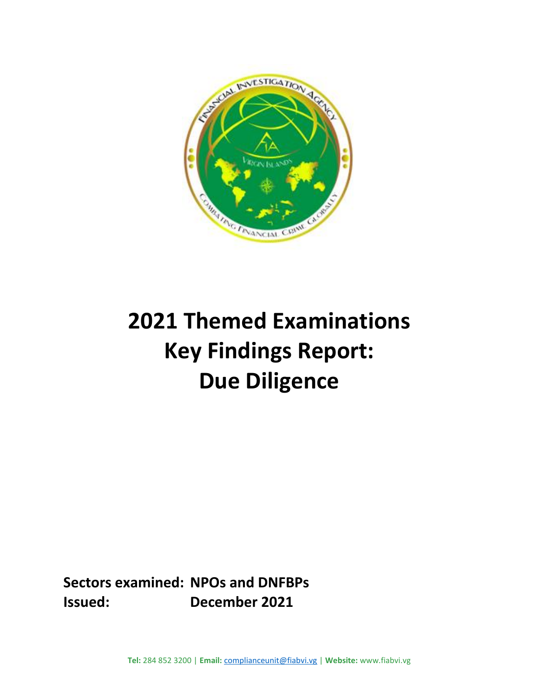

# **2021 Themed Examinations Key Findings Report: Due Diligence**

**Sectors examined: NPOs and DNFBPs Issued: December 2021**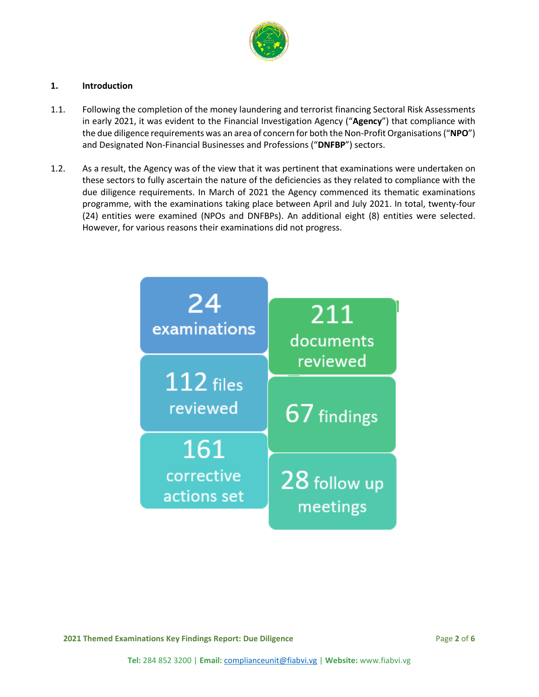

#### **1. Introduction**

- 1.1. Following the completion of the money laundering and terrorist financing Sectoral Risk Assessments in early 2021, it was evident to the Financial Investigation Agency ("**Agency**") that compliance with the due diligence requirements was an area of concern for both the Non-Profit Organisations ("**NPO**") and Designated Non-Financial Businesses and Professions ("**DNFBP**") sectors.
- 1.2. As a result, the Agency was of the view that it was pertinent that examinations were undertaken on these sectors to fully ascertain the nature of the deficiencies as they related to compliance with the due diligence requirements. In March of 2021 the Agency commenced its thematic examinations programme, with the examinations taking place between April and July 2021. In total, twenty-four (24) entities were examined (NPOs and DNFBPs). An additional eight (8) entities were selected. However, for various reasons their examinations did not progress.



**2021 Themed Examinations Key Findings Report: Due Diligence** Page **2** of **6**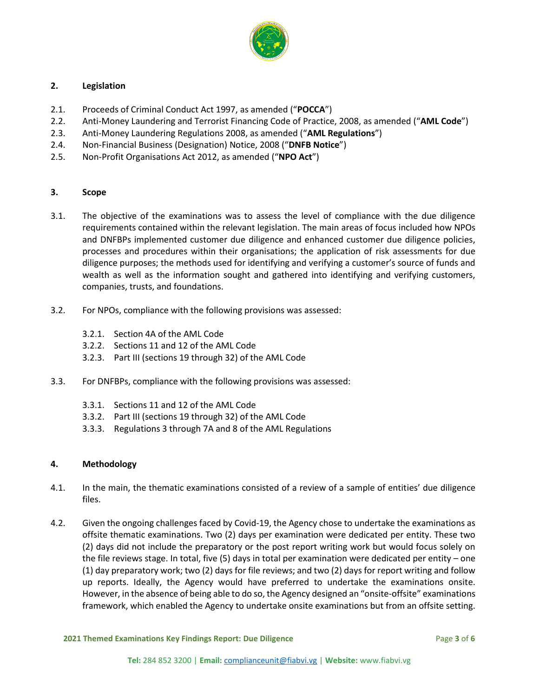

# **2. Legislation**

- 2.1. Proceeds of Criminal Conduct Act 1997, as amended ("**POCCA**")
- 2.2. Anti-Money Laundering and Terrorist Financing Code of Practice, 2008, as amended ("**AML Code**")
- 2.3. Anti-Money Laundering Regulations 2008, as amended ("**AML Regulations**")
- 2.4. Non-Financial Business (Designation) Notice, 2008 ("**DNFB Notice**")
- 2.5. Non-Profit Organisations Act 2012, as amended ("**NPO Act**")

## **3. Scope**

- 3.1. The objective of the examinations was to assess the level of compliance with the due diligence requirements contained within the relevant legislation. The main areas of focus included how NPOs and DNFBPs implemented customer due diligence and enhanced customer due diligence policies, processes and procedures within their organisations; the application of risk assessments for due diligence purposes; the methods used for identifying and verifying a customer's source of funds and wealth as well as the information sought and gathered into identifying and verifying customers, companies, trusts, and foundations.
- 3.2. For NPOs, compliance with the following provisions was assessed:
	- 3.2.1. Section 4A of the AML Code
	- 3.2.2. Sections 11 and 12 of the AML Code
	- 3.2.3. Part III (sections 19 through 32) of the AML Code
- 3.3. For DNFBPs, compliance with the following provisions was assessed:
	- 3.3.1. Sections 11 and 12 of the AML Code
	- 3.3.2. Part III (sections 19 through 32) of the AML Code
	- 3.3.3. Regulations 3 through 7A and 8 of the AML Regulations

# **4. Methodology**

- 4.1. In the main, the thematic examinations consisted of a review of a sample of entities' due diligence files.
- 4.2. Given the ongoing challenges faced by Covid-19, the Agency chose to undertake the examinations as offsite thematic examinations. Two (2) days per examination were dedicated per entity. These two (2) days did not include the preparatory or the post report writing work but would focus solely on the file reviews stage. In total, five (5) days in total per examination were dedicated per entity – one (1) day preparatory work; two (2) days for file reviews; and two (2) days for report writing and follow up reports. Ideally, the Agency would have preferred to undertake the examinations onsite. However, in the absence of being able to do so, the Agency designed an "onsite-offsite" examinations framework, which enabled the Agency to undertake onsite examinations but from an offsite setting.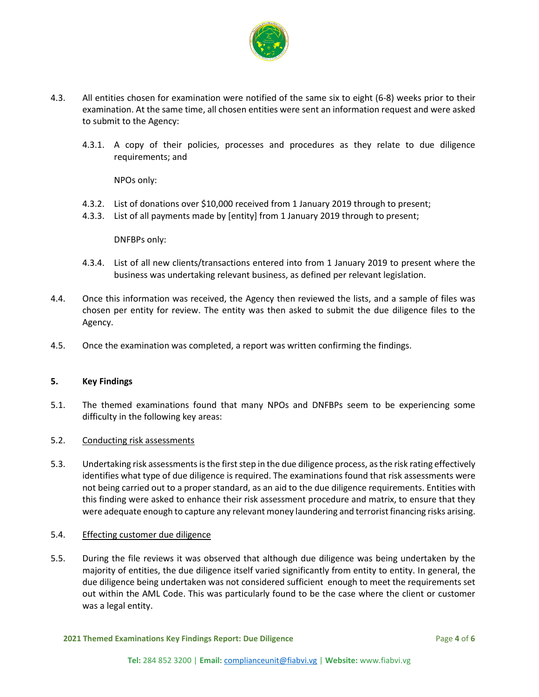

- 4.3. All entities chosen for examination were notified of the same six to eight (6-8) weeks prior to their examination. At the same time, all chosen entities were sent an information request and were asked to submit to the Agency:
	- 4.3.1. A copy of their policies, processes and procedures as they relate to due diligence requirements; and

NPOs only:

- 4.3.2. List of donations over \$10,000 received from 1 January 2019 through to present;
- 4.3.3. List of all payments made by [entity] from 1 January 2019 through to present;

DNFBPs only:

- 4.3.4. List of all new clients/transactions entered into from 1 January 2019 to present where the business was undertaking relevant business, as defined per relevant legislation.
- 4.4. Once this information was received, the Agency then reviewed the lists, and a sample of files was chosen per entity for review. The entity was then asked to submit the due diligence files to the Agency.
- 4.5. Once the examination was completed, a report was written confirming the findings.

#### **5. Key Findings**

5.1. The themed examinations found that many NPOs and DNFBPs seem to be experiencing some difficulty in the following key areas:

#### 5.2. Conducting risk assessments

5.3. Undertaking risk assessments isthe first step in the due diligence process, as the risk rating effectively identifies what type of due diligence is required. The examinations found that risk assessments were not being carried out to a proper standard, as an aid to the due diligence requirements. Entities with this finding were asked to enhance their risk assessment procedure and matrix, to ensure that they were adequate enough to capture any relevant money laundering and terrorist financing risks arising.

#### 5.4. Effecting customer due diligence

5.5. During the file reviews it was observed that although due diligence was being undertaken by the majority of entities, the due diligence itself varied significantly from entity to entity. In general, the due diligence being undertaken was not considered sufficient enough to meet the requirements set out within the AML Code. This was particularly found to be the case where the client or customer was a legal entity.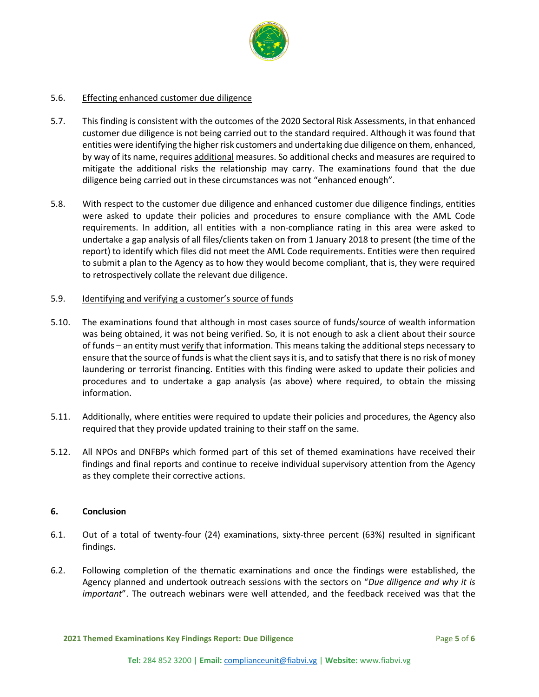

## 5.6. Effecting enhanced customer due diligence

- 5.7. This finding is consistent with the outcomes of the 2020 Sectoral Risk Assessments, in that enhanced customer due diligence is not being carried out to the standard required. Although it was found that entities were identifying the higher risk customers and undertaking due diligence on them, enhanced, by way of its name, requires additional measures. So additional checks and measures are required to mitigate the additional risks the relationship may carry. The examinations found that the due diligence being carried out in these circumstances was not "enhanced enough".
- 5.8. With respect to the customer due diligence and enhanced customer due diligence findings, entities were asked to update their policies and procedures to ensure compliance with the AML Code requirements. In addition, all entities with a non-compliance rating in this area were asked to undertake a gap analysis of all files/clients taken on from 1 January 2018 to present (the time of the report) to identify which files did not meet the AML Code requirements. Entities were then required to submit a plan to the Agency as to how they would become compliant, that is, they were required to retrospectively collate the relevant due diligence.

## 5.9. Identifying and verifying a customer's source of funds

- 5.10. The examinations found that although in most cases source of funds/source of wealth information was being obtained, it was not being verified. So, it is not enough to ask a client about their source of funds – an entity must verify that information. This means taking the additional steps necessary to ensure that the source of funds is what the client says it is, and to satisfy that there is no risk of money laundering or terrorist financing. Entities with this finding were asked to update their policies and procedures and to undertake a gap analysis (as above) where required, to obtain the missing information.
- 5.11. Additionally, where entities were required to update their policies and procedures, the Agency also required that they provide updated training to their staff on the same.
- 5.12. All NPOs and DNFBPs which formed part of this set of themed examinations have received their findings and final reports and continue to receive individual supervisory attention from the Agency as they complete their corrective actions.

# **6. Conclusion**

- 6.1. Out of a total of twenty-four (24) examinations, sixty-three percent (63%) resulted in significant findings.
- 6.2. Following completion of the thematic examinations and once the findings were established, the Agency planned and undertook outreach sessions with the sectors on "*Due diligence and why it is important*". The outreach webinars were well attended, and the feedback received was that the